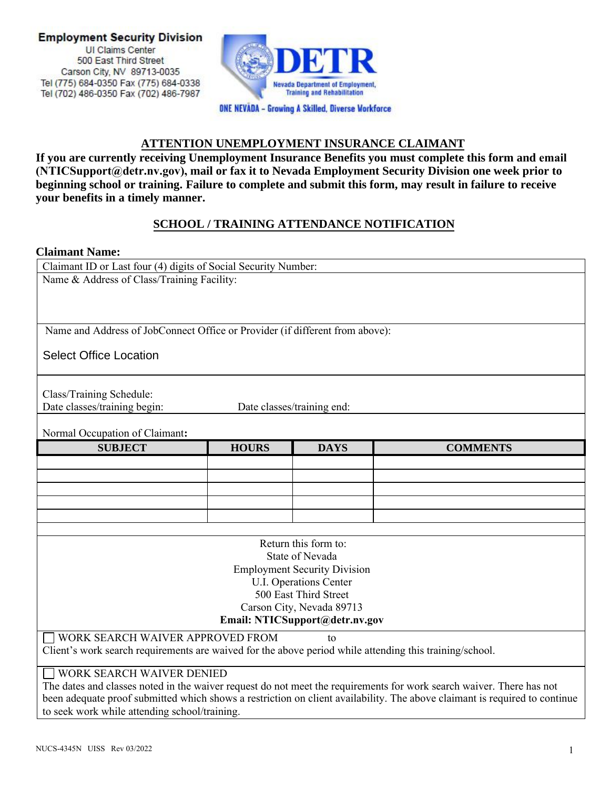

### **ATTENTION UNEMPLOYMENT INSURANCE CLAIMANT**

**If you are currently receiving Unemployment Insurance Benefits you must complete this form and email (NTICSupport@detr.nv.gov), mail or fax it to Nevada Employment Security Division one week prior to beginning school or training. Failure to complete and submit this form, may result in failure to receive your benefits in a timely manner.** 

### **SCHOOL / TRAINING ATTENDANCE NOTIFICATION**

### **Claimant Name:**

Claimant ID or Last four (4) digits of Social Security Number: Name & Address of Class/Training Facility: Name and Address of JobConnect Office or Provider (if different from above): Class/Training Schedule: Date classes/training begin: Date classes/training end: Normal Occupation of Claimant**: SUBJECT HOURS DAYS COMMENTS** Return this form to: State of Nevada Employment Security Division U.I. Operations Center 500 East Third Street Select Office Location

# Carson City, Nevada 89713

## **E[mail: NTICSupport@detr.nv.](mailto:NTICSupport@detr.nv.gov)gov**

WORK SEARCH WAIVER APPROVED FROM to

Client's work search requirements are waived for the above period while attending this training/school.

### WORK SEARCH WAIVER DENIED

The dates and classes noted in the waiver request do not meet the requirements for work search waiver. There has not been adequate proof submitted which shows a restriction on client availability. The above claimant is required to continue to seek work while attending school/training.